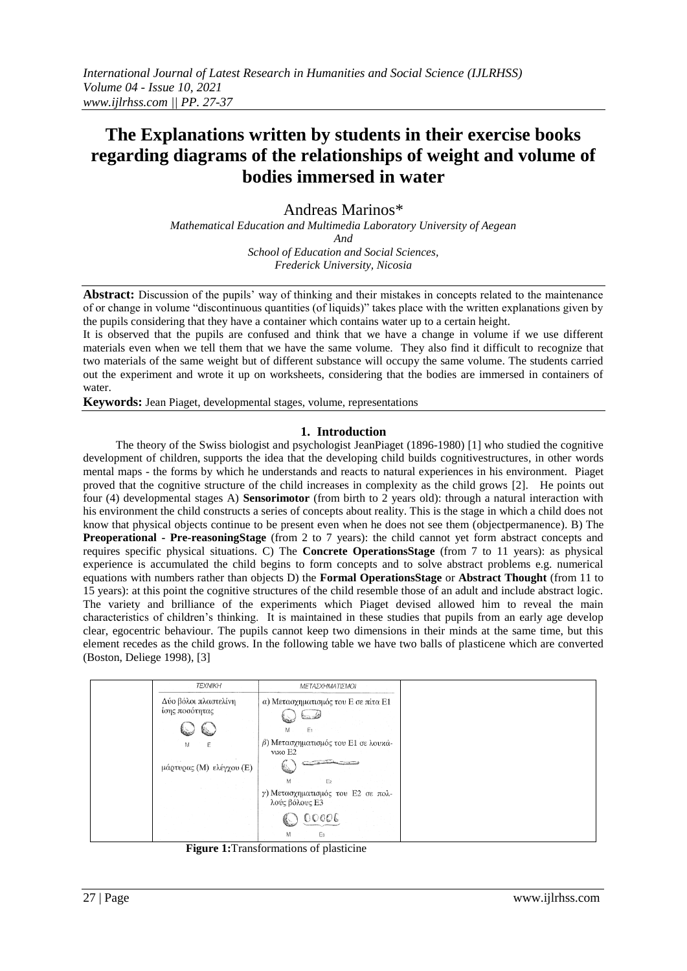# **The Explanations written by students in their exercise books regarding diagrams of the relationships of weight and volume of bodies immersed in water**

Andreas Marinos\* *Mathematical Education and Multimedia Laboratory University of Aegean And School of Education and Social Sciences, Frederick University, Nicosia* 

**Abstract:** Discussion of the pupils' way of thinking and their mistakes in concepts related to the maintenance of or change in volume "discontinuous quantities (of liquids)" takes place with the written explanations given by the pupils considering that they have a container which contains water up to a certain height.

It is observed that the pupils are confused and think that we have a change in volume if we use different materials even when we tell them that we have the same volume. They also find it difficult to recognize that two materials of the same weight but of different substance will occupy the same volume. The students carried out the experiment and wrote it up on worksheets, considering that the bodies are immersed in containers of water.

**Keywords:** Jean Piaget, developmental stages, volume, representations

### **1. Introduction**

The theory of the Swiss biologist and psychologist JeanPiaget (1896-1980) [1] who studied the cognitive development of children, supports the idea that the developing child builds cognitivestructures, in other words mental maps - the forms by which he understands and reacts to natural experiences in his environment. Piaget proved that the cognitive structure of the child increases in complexity as the child grows [2]. He points out four (4) developmental stages A) **Sensorimotor** (from birth to 2 years old): through a natural interaction with his environment the child constructs a series of concepts about reality. This is the stage in which a child does not know that physical objects continue to be present even when he does not see them (objectpermanence). B) The **Preoperational - Pre-reasoningStage** (from 2 to 7 years): the child cannot yet form abstract concepts and requires specific physical situations. C) The **Concrete OperationsStage** (from 7 to 11 years): as physical experience is accumulated the child begins to form concepts and to solve abstract problems e.g. numerical equations with numbers rather than objects D) the **Formal OperationsStage** or **Abstract Thought** (from 11 to 15 years): at this point the cognitive structures of the child resemble those of an adult and include abstract logic. The variety and brilliance of the experiments which Piaget devised allowed him to reveal the main characteristics of children"s thinking. It is maintained in these studies that pupils from an early age develop clear, egocentric behaviour. The pupils cannot keep two dimensions in their minds at the same time, but this element recedes as the child grows. In the following table we have two balls of plasticene which are converted (Boston, Deliege 1998), [3]



**Figure 1:**Transformations of plasticine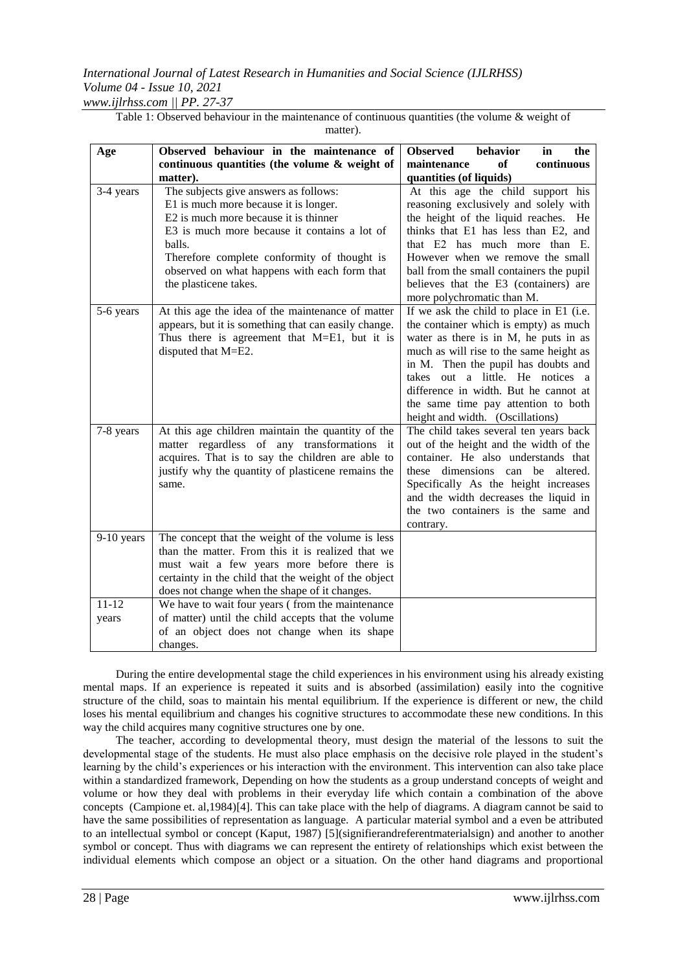*www.ijlrhss.com || PP. 27-37*

| Age                | Observed behaviour in the maintenance of<br>continuous quantities (the volume & weight of<br>matter).                                                                                                                                                                                                     | <b>Observed</b><br>behavior<br>in<br>the<br>of<br>continuous<br>maintenance<br>quantities (of liquids)                                                                                                                                                                                                                                                               |  |
|--------------------|-----------------------------------------------------------------------------------------------------------------------------------------------------------------------------------------------------------------------------------------------------------------------------------------------------------|----------------------------------------------------------------------------------------------------------------------------------------------------------------------------------------------------------------------------------------------------------------------------------------------------------------------------------------------------------------------|--|
| 3-4 years          | The subjects give answers as follows:<br>E1 is much more because it is longer.<br>E2 is much more because it is thinner<br>E3 is much more because it contains a lot of<br>balls.<br>Therefore complete conformity of thought is<br>observed on what happens with each form that<br>the plasticene takes. | At this age the child support his<br>reasoning exclusively and solely with<br>the height of the liquid reaches. He<br>thinks that E1 has less than E2, and<br>that E2 has much more than E.<br>However when we remove the small<br>ball from the small containers the pupil<br>believes that the E3 (containers) are<br>more polychromatic than M.                   |  |
| 5-6 years          | At this age the idea of the maintenance of matter<br>appears, but it is something that can easily change.<br>Thus there is agreement that M=E1, but it is<br>disputed that M=E2.                                                                                                                          | If we ask the child to place in E1 (i.e.<br>the container which is empty) as much<br>water as there is in M, he puts in as<br>much as will rise to the same height as<br>in M. Then the pupil has doubts and<br>takes out a little. He notices a<br>difference in width. But he cannot at<br>the same time pay attention to both<br>height and width. (Oscillations) |  |
| 7-8 years          | At this age children maintain the quantity of the<br>matter regardless of any transformations it<br>acquires. That is to say the children are able to<br>justify why the quantity of plasticene remains the<br>same.                                                                                      | The child takes several ten years back<br>out of the height and the width of the<br>container. He also understands that<br>dimensions can be<br>altered.<br>these<br>Specifically As the height increases<br>and the width decreases the liquid in<br>the two containers is the same and<br>contrary.                                                                |  |
| 9-10 years         | The concept that the weight of the volume is less<br>than the matter. From this it is realized that we<br>must wait a few years more before there is<br>certainty in the child that the weight of the object<br>does not change when the shape of it changes.                                             |                                                                                                                                                                                                                                                                                                                                                                      |  |
| $11 - 12$<br>years | We have to wait four years (from the maintenance<br>of matter) until the child accepts that the volume<br>of an object does not change when its shape<br>changes.                                                                                                                                         |                                                                                                                                                                                                                                                                                                                                                                      |  |

Table 1: Observed behaviour in the maintenance of continuous quantities (the volume & weight of matter).

During the entire developmental stage the child experiences in his environment using his already existing mental maps. If an experience is repeated it suits and is absorbed (assimilation) easily into the cognitive structure of the child, soas to maintain his mental equilibrium. If the experience is different or new, the child loses his mental equilibrium and changes his cognitive structures to accommodate these new conditions. In this way the child acquires many cognitive structures one by one.

The teacher, according to developmental theory, must design the material of the lessons to suit the developmental stage of the students. He must also place emphasis on the decisive role played in the student"s learning by the child"s experiences or his interaction with the environment. This intervention can also take place within a standardized framework, Depending on how the students as a group understand concepts of weight and volume or how they deal with problems in their everyday life which contain a combination of the above concepts (Campione et. al,1984)[4]. This can take place with the help of diagrams. A diagram cannot be said to have the same possibilities of representation as language. A particular material symbol and a even be attributed to an intellectual symbol or concept (Kaput, 1987) [5](signifierandreferentmaterialsign) and another to another symbol or concept. Thus with diagrams we can represent the entirety of relationships which exist between the individual elements which compose an object or a situation. On the other hand diagrams and proportional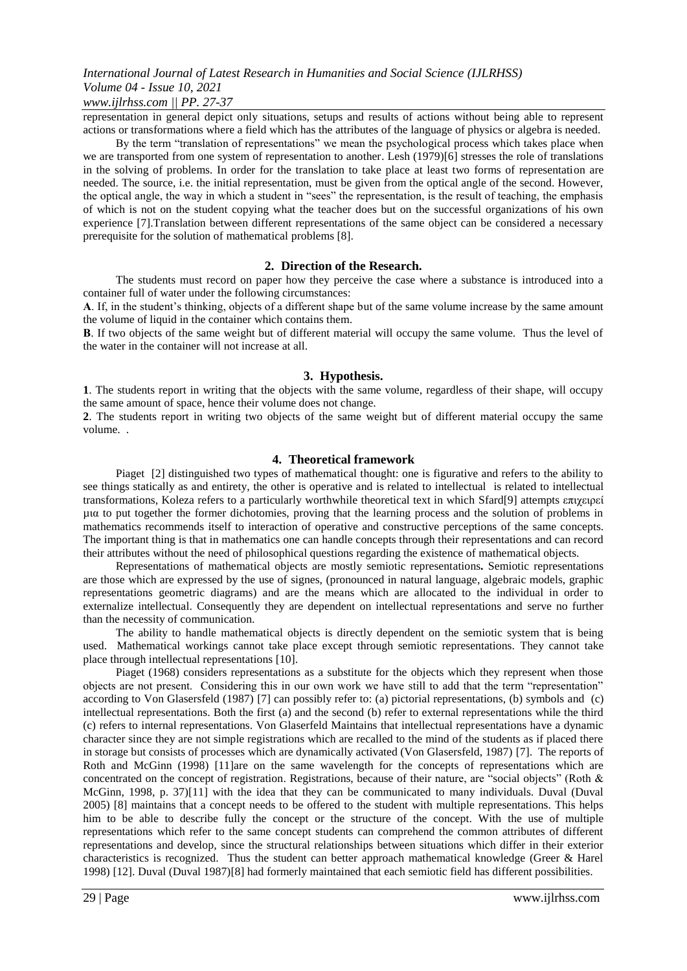### *www.ijlrhss.com || PP. 27-37*

representation in general depict only situations, setups and results of actions without being able to represent actions or transformations where a field which has the attributes of the language of physics or algebra is needed.

By the term "translation of representations" we mean the psychological process which takes place when we are transported from one system of representation to another. Lesh (1979)[6] stresses the role of translations in the solving of problems. In order for the translation to take place at least two forms of representation are needed. The source, i.e. the initial representation, must be given from the optical angle of the second. However, the optical angle, the way in which a student in "sees" the representation, is the result of teaching, the emphasis of which is not on the student copying what the teacher does but on the successful organizations of his own experience [7].Translation between different representations of the same object can be considered a necessary prerequisite for the solution of mathematical problems [8].

### **2. Direction of the Research.**

The students must record on paper how they perceive the case where a substance is introduced into a container full of water under the following circumstances:

A. If, in the student's thinking, objects of a different shape but of the same volume increase by the same amount the volume of liquid in the container which contains them.

**Β**. If two objects of the same weight but of different material will occupy the same volume. Thus the level of the water in the container will not increase at all.

### **3. Hypothesis.**

**1**. The students report in writing that the objects with the same volume, regardless of their shape, will occupy the same amount of space, hence their volume does not change.

**2**. The students report in writing two objects of the same weight but of different material occupy the same volume. .

### **4. Theoretical framework**

Piaget [2] distinguished two types of mathematical thought: one is figurative and refers to the ability to see things statically as and entirety, the other is operative and is related to intellectual is related to intellectual transformations, Koleza refers to a particularly worthwhile theoretical text in which Sfard[9] attempts επιχειρεί µια to put together the former dichotomies, proving that the learning process and the solution of problems in mathematics recommends itself to interaction of operative and constructive perceptions of the same concepts. The important thing is that in mathematics one can handle concepts through their representations and can record their attributes without the need of philosophical questions regarding the existence of mathematical objects.

Representations of mathematical objects are mostly semiotic representations**.** Semiotic representations are those which are expressed by the use of signes, (pronounced in natural language, algebraic models, graphic representations geometric diagrams) and are the means which are allocated to the individual in order to externalize intellectual. Consequently they are dependent on intellectual representations and serve no further than the necessity of communication.

The ability to handle mathematical objects is directly dependent on the semiotic system that is being used. Mathematical workings cannot take place except through semiotic representations. They cannot take place through intellectual representations [10].

Piaget (1968) considers representations as a substitute for the objects which they represent when those objects are not present. Considering this in our own work we have still to add that the term "representation" according to Von Glasersfeld (1987) [7] can possibly refer to: (a) pictorial representations, (b) symbols and (c) intellectual representations. Both the first (a) and the second (b) refer to external representations while the third (c) refers to internal representations. Von Glaserfeld Maintains that intellectual representations have a dynamic character since they are not simple registrations which are recalled to the mind of the students as if placed there in storage but consists of processes which are dynamically activated (Von Glasersfeld, 1987) [7]. The reports of Roth and McGinn (1998) [11]are on the same wavelength for the concepts of representations which are concentrated on the concept of registration. Registrations, because of their nature, are "social objects" (Roth & McGinn, 1998, p. 37)[11] with the idea that they can be communicated to many individuals. Duval (Duval 2005) [8] maintains that a concept needs to be offered to the student with multiple representations. This helps him to be able to describe fully the concept or the structure of the concept. With the use of multiple representations which refer to the same concept students can comprehend the common attributes of different representations and develop, since the structural relationships between situations which differ in their exterior characteristics is recognized. Thus the student can better approach mathematical knowledge (Greer & Harel 1998) [12]. Duval (Duval 1987)[8] had formerly maintained that each semiotic field has different possibilities.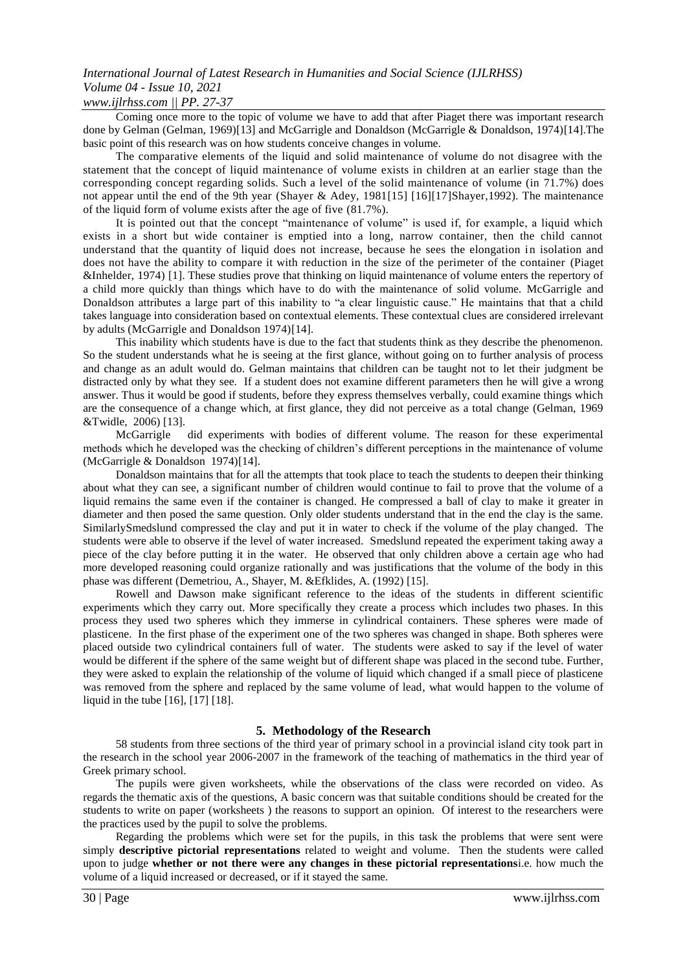*www.ijlrhss.com || PP. 27-37*

Coming once more to the topic of volume we have to add that after Piaget there was important research done by Gelman (Gelman, 1969)[13] and McGarrigle and Donaldson (McGarrigle & Donaldson, 1974)[14].The basic point of this research was on how students conceive changes in volume.

The comparative elements of the liquid and solid maintenance of volume do not disagree with the statement that the concept of liquid maintenance of volume exists in children at an earlier stage than the corresponding concept regarding solids. Such a level of the solid maintenance of volume (in 71.7%) does not appear until the end of the 9th year (Shayer & Adey, 1981[15] [16][17]Shayer,1992). The maintenance of the liquid form of volume exists after the age of five (81.7%).

It is pointed out that the concept "maintenance of volume" is used if, for example, a liquid which exists in a short but wide container is emptied into a long, narrow container, then the child cannot understand that the quantity of liquid does not increase, because he sees the elongation in isolation and does not have the ability to compare it with reduction in the size of the perimeter of the container (Piaget &Inhelder, 1974) [1]. These studies prove that thinking on liquid maintenance of volume enters the repertory of a child more quickly than things which have to do with the maintenance of solid volume. McGarrigle and Donaldson attributes a large part of this inability to "a clear linguistic cause." He maintains that that a child takes language into consideration based on contextual elements. These contextual clues are considered irrelevant by adults (McGarrigle and Donaldson 1974)[14].

This inability which students have is due to the fact that students think as they describe the phenomenon. So the student understands what he is seeing at the first glance, without going on to further analysis of process and change as an adult would do. Gelman maintains that children can be taught not to let their judgment be distracted only by what they see. If a student does not examine different parameters then he will give a wrong answer. Thus it would be good if students, before they express themselves verbally, could examine things which are the consequence of a change which, at first glance, they did not perceive as a total change (Gelman, 1969 &Twidle, 2006) [13].

McGarrigle did experiments with bodies of different volume. The reason for these experimental methods which he developed was the checking of children"s different perceptions in the maintenance of volume (McGarrigle & Donaldson 1974)[14].

Donaldson maintains that for all the attempts that took place to teach the students to deepen their thinking about what they can see, a significant number of children would continue to fail to prove that the volume of a liquid remains the same even if the container is changed. He compressed a ball of clay to make it greater in diameter and then posed the same question. Only older students understand that in the end the clay is the same. SimilarlySmedslund compressed the clay and put it in water to check if the volume of the play changed. The students were able to observe if the level of water increased. Smedslund repeated the experiment taking away a piece of the clay before putting it in the water. He observed that only children above a certain age who had more developed reasoning could organize rationally and was justifications that the volume of the body in this phase was different (Demetriou, A., Shayer, M. &Efklides, A. (1992) [15].

Rowell and Dawson make significant reference to the ideas of the students in different scientific experiments which they carry out. More specifically they create a process which includes two phases. In this process they used two spheres which they immerse in cylindrical containers. These spheres were made of plasticene. In the first phase of the experiment one of the two spheres was changed in shape. Both spheres were placed outside two cylindrical containers full of water. The students were asked to say if the level of water would be different if the sphere of the same weight but of different shape was placed in the second tube. Further, they were asked to explain the relationship of the volume of liquid which changed if a small piece of plasticene was removed from the sphere and replaced by the same volume of lead, what would happen to the volume of liquid in the tube [16], [17] [18].

### **5. Methodology of the Research**

58 students from three sections of the third year of primary school in a provincial island city took part in the research in the school year 2006-2007 in the framework of the teaching of mathematics in the third year of Greek primary school.

The pupils were given worksheets, while the observations of the class were recorded on video. As regards the thematic axis of the questions, A basic concern was that suitable conditions should be created for the students to write on paper (worksheets ) the reasons to support an opinion. Of interest to the researchers were the practices used by the pupil to solve the problems.

Regarding the problems which were set for the pupils, in this task the problems that were sent were simply **descriptive pictorial representations** related to weight and volume. Then the students were called upon to judge **whether or not there were any changes in these pictorial representations**i.e. how much the volume of a liquid increased or decreased, or if it stayed the same.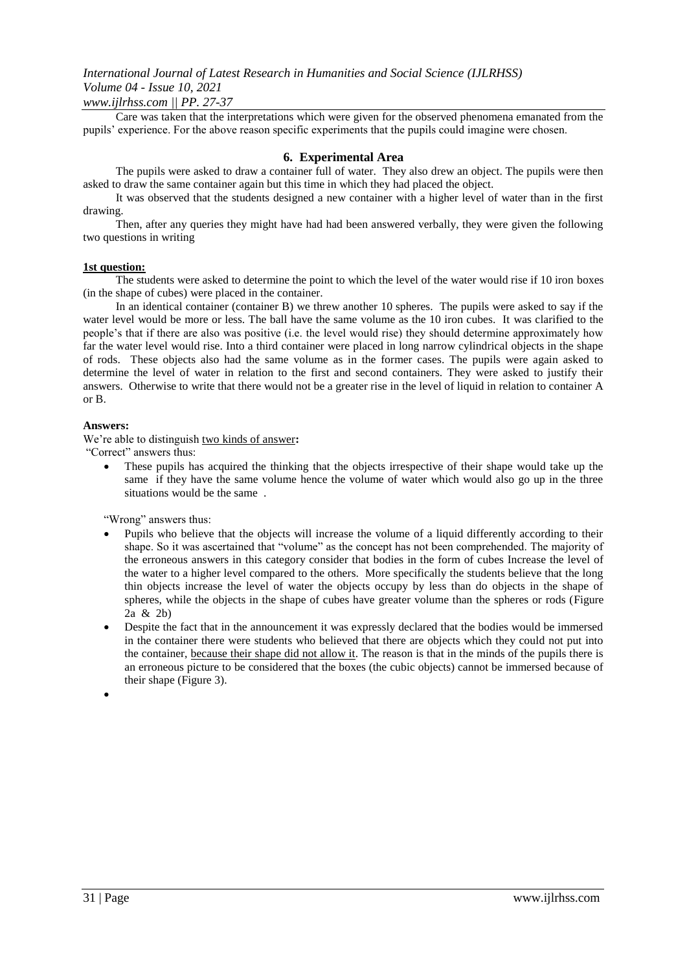### *www.ijlrhss.com || PP. 27-37*

Care was taken that the interpretations which were given for the observed phenomena emanated from the pupils' experience. For the above reason specific experiments that the pupils could imagine were chosen.

### **6. Experimental Area**

The pupils were asked to draw a container full of water. They also drew an object. The pupils were then asked to draw the same container again but this time in which they had placed the object.

It was observed that the students designed a new container with a higher level of water than in the first drawing.

Then, after any queries they might have had had been answered verbally, they were given the following two questions in writing

#### **1st question:**

The students were asked to determine the point to which the level of the water would rise if 10 iron boxes (in the shape of cubes) were placed in the container.

In an identical container (container B) we threw another 10 spheres. The pupils were asked to say if the water level would be more or less. The ball have the same volume as the 10 iron cubes. It was clarified to the people"s that if there are also was positive (i.e. the level would rise) they should determine approximately how far the water level would rise. Into a third container were placed in long narrow cylindrical objects in the shape of rods. These objects also had the same volume as in the former cases. The pupils were again asked to determine the level of water in relation to the first and second containers. They were asked to justify their answers. Otherwise to write that there would not be a greater rise in the level of liquid in relation to container A or B.

### **Answers:**

We"re able to distinguish two kinds of answer**:** 

"Correct" answers thus:

 These pupils has acquired the thinking that the objects irrespective of their shape would take up the same if they have the same volume hence the volume of water which would also go up in the three situations would be the same .

"Wrong" answers thus:

- Pupils who believe that the objects will increase the volume of a liquid differently according to their shape. So it was ascertained that "volume" as the concept has not been comprehended. The majority of the erroneous answers in this category consider that bodies in the form of cubes Increase the level of the water to a higher level compared to the others. More specifically the students believe that the long thin objects increase the level of water the objects occupy by less than do objects in the shape of spheres, while the objects in the shape of cubes have greater volume than the spheres or rods (Figure 2a & 2b)
- Despite the fact that in the announcement it was expressly declared that the bodies would be immersed in the container there were students who believed that there are objects which they could not put into the container, because their shape did not allow it. The reason is that in the minds of the pupils there is an erroneous picture to be considered that the boxes (the cubic objects) cannot be immersed because of their shape (Figure 3).

 $\bullet$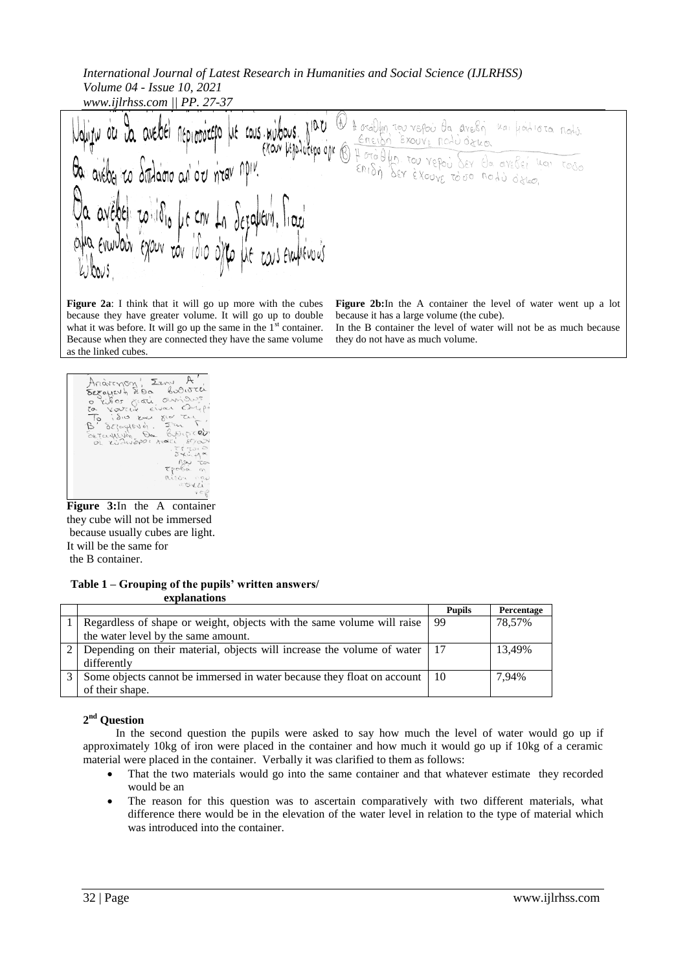*International Journal of Latest Research in Humanities and Social Science (IJLRHSS) Volume 04 - Issue 10, 2021 www.ijlrhss.com || PP. 27-37*

(f 10 U orablyn tou veroù da avelin kai hadiota nodo. LOUS. Greisn Exouve rolu oglo. (OUV litija lutino ojic Hotallin. Tou vepoi Ser da avelei van Toso BEY EXOUVE TO DO MOLD Offeo.

**Figure 2a**: I think that it will go up more with the cubes because they have greater volume. It will go up to double what it was before. It will go up the same in the  $1<sup>st</sup>$  container. Because when they are connected they have the same volume as the linked cubes.

**Figure 2b:**In the A container the level of water went up a lot because it has a large volume (the cube). In the Β container the level of water will not be as much because

they do not have as much volume.

Andrenon Lew A'  $5022$  $\mathcal{P}$ Sejaglevin. o' defaylevin<br>Defaylevin Dr<br>De zuandapor  $600$  $\Theta^{\alpha}$ 

**Figure 3:**In the A container they cube will not be immersed because usually cubes are light. It will be the same for the B container.

**Table 1 – Grouping of the pupils' written answers/ explanations**

|                                                                                                 | <b>Pupils</b> | Percentage |
|-------------------------------------------------------------------------------------------------|---------------|------------|
| Regardless of shape or weight, objects with the same volume will raise                          | 99            | 78,57%     |
| the water level by the same amount.                                                             |               |            |
| Depending on their material, objects will increase the volume of water $\mid$ 17<br>differently |               | 13.49%     |
| Some objects cannot be immersed in water because they float on account<br>of their shape.       | - 10          | 7.94%      |

### **2 nd Question**

In the second question the pupils were asked to say how much the level of water would go up if approximately 10kg of iron were placed in the container and how much it would go up if 10kg of a ceramic material were placed in the container. Verbally it was clarified to them as follows:

- That the two materials would go into the same container and that whatever estimate they recorded would be an
- The reason for this question was to ascertain comparatively with two different materials, what difference there would be in the elevation of the water level in relation to the type of material which was introduced into the container.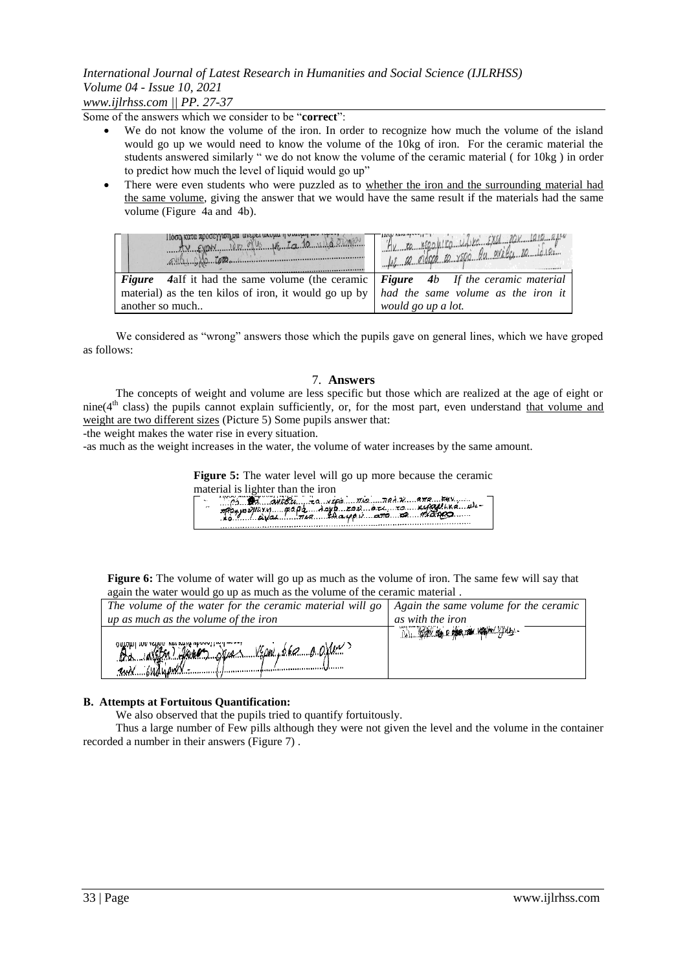*www.ijlrhss.com || PP. 27-37*

Some of the answers which we consider to be "**correct**":

- We do not know the volume of the iron. In order to recognize how much the volume of the island would go up we would need to know the volume of the 10kg of iron. For the ceramic material the students answered similarly " we do not know the volume of the ceramic material ( for 10kg ) in order to predict how much the level of liquid would go up"
- There were even students who were puzzled as to whether the iron and the surrounding material had the same volume, giving the answer that we would have the same result if the materials had the same volume (Figure 4a and 4b).

| <b>HOOG KULU ADOOSYYWILOU</b><br>$F_{\text{V}}$ $F_{\text{V}}$ $N_{\text{V}}$ $N_{\text{V}}$     | $U_{d}$ $Y_{0}$ $Y_{M}$ $U_{M}$ $U_{M}$<br>48 M Roleco a velo by evides 20 leves |
|--------------------------------------------------------------------------------------------------|----------------------------------------------------------------------------------|
| <b>Figure</b> 4alf it had the same volume (the ceramic <b>Figure</b> 4b If the ceramic material  |                                                                                  |
| material) as the ten kilos of iron, it would go up by $\vert$ had the same volume as the iron it |                                                                                  |
| another so much                                                                                  | would go up a lot.                                                               |

We considered as "wrong" answers those which the pupils gave on general lines, which we have groped as follows:

#### 7. **Answers**

The concepts of weight and volume are less specific but those which are realized at the age of eight or  $nine(4<sup>th</sup> class)$  the pupils cannot explain sufficiently, or, for the most part, even understand that volume and weight are two different sizes (Picture 5) Some pupils answer that:

-the weight makes the water rise in every situation.

-as much as the weight increases in the water, the volume of water increases by the same amount.

**Figure 5:** The water level will go up more because the ceramic material is lighter than the iron

| pp. 31 aveBu zo veps mo ned x ang Eur |
|---------------------------------------|
|                                       |
|                                       |
|                                       |

**Figure 6:** The volume of water will go up as much as the volume of iron. The same few will say that again the water would go up as much as the volume of the ceramic material .

| The volume of the water for the ceramic material will go   Again the same volume for the ceramic |                                |
|--------------------------------------------------------------------------------------------------|--------------------------------|
| up as much as the volume of the iron                                                             | as with the iron               |
|                                                                                                  | AN WAY OG D. MARTIN KAHIM JULE |
| Da id (fa) Jacon Nyan 1900, 060 0 0 min                                                          |                                |
|                                                                                                  |                                |
| un budupul                                                                                       |                                |

#### **Β. Attempts at Fortuitous Quantification:**

We also observed that the pupils tried to quantify fortuitously.

Thus a large number of Few pills although they were not given the level and the volume in the container recorded a number in their answers (Figure 7) .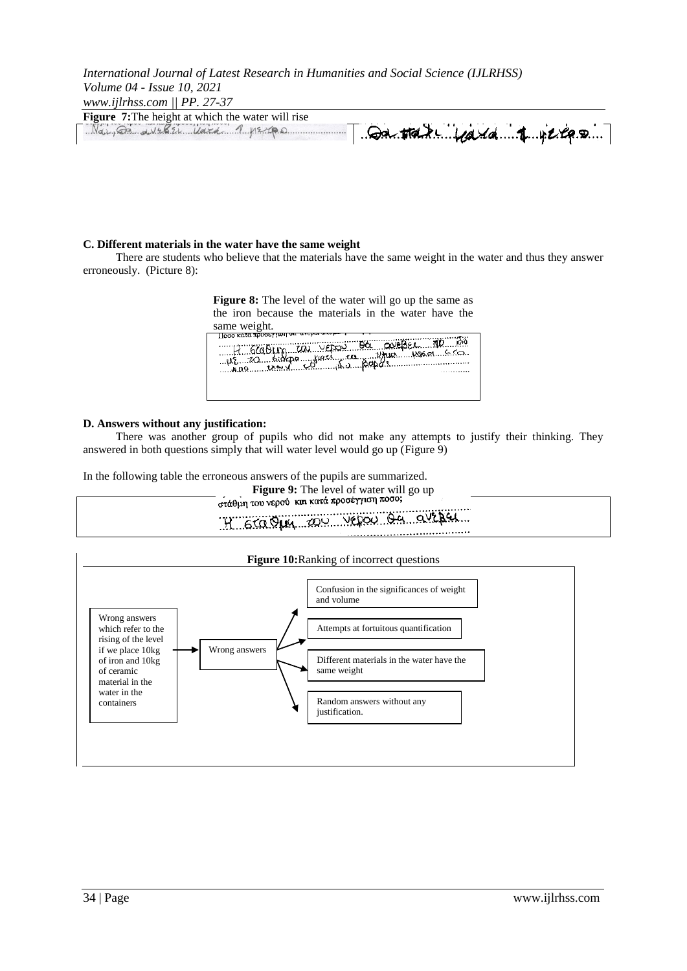*International Journal of Latest Research in Humanities and Social Science (IJLRHSS) Volume 04 - Issue 10, 2021 www.ijlrhss.com || PP. 27-37*

| $WWW$ $\cdot$ $U11133$ $\cdot$ $U1111$ $\cdot$ $Z1 - 31$ |                                        |
|----------------------------------------------------------|----------------------------------------|
| <b>Figure 7:</b> The height at which the water will rise |                                        |
| Na <sub>1</sub> 82.12621 14762                           | $Q$ a tak $\ldots$ $Q$ a da $I$ ye e e |

### **C. Different materials in the water have the same weight**

There are students who believe that the materials have the same weight in the water and thus they answer erroneously. (Picture 8):

**Figure 8:** The level of the water will go up the same as the iron because the materials in the water have the

same weight*.*

| with 600 kg website of margaretic motor |  |
|-----------------------------------------|--|
|                                         |  |

### **D. Answers without any justification:**

There was another group of pupils who did not make any attempts to justify their thinking. They answered in both questions simply that will water level would go up (Figure 9)

In the following table the erroneous answers of the pupils are summarized.

Figure 9: The level of water will go up στάθμη του νερού και κατά προσέγγιση ποσο;

#### H Graduy 200 Vegou de aveper . . . . . . . . . . . . . . . . .

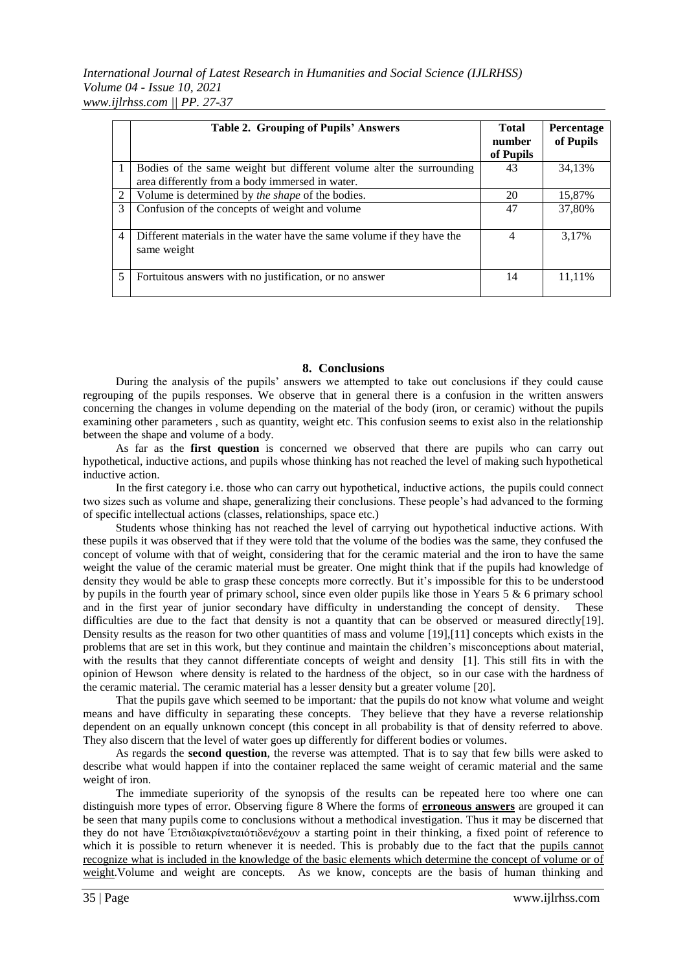*International Journal of Latest Research in Humanities and Social Science (IJLRHSS) Volume 04 - Issue 10, 2021 www.ijlrhss.com || PP. 27-37*

|                | Table 2. Grouping of Pupils' Answers                                                                                    | <b>Total</b><br>number<br>of Pupils | Percentage<br>of Pupils |
|----------------|-------------------------------------------------------------------------------------------------------------------------|-------------------------------------|-------------------------|
| 1              | Bodies of the same weight but different volume alter the surrounding<br>area differently from a body immersed in water. | 43                                  | 34,13%                  |
| 2              | Volume is determined by the shape of the bodies.                                                                        | 20                                  | 15,87%                  |
| 3              | Confusion of the concepts of weight and volume                                                                          | 47                                  | 37,80%                  |
| $\overline{4}$ | Different materials in the water have the same volume if they have the<br>same weight                                   | 4                                   | 3.17%                   |
| 5              | Fortuitous answers with no justification, or no answer                                                                  | 14                                  | 11.11%                  |

### **8. Conclusions**

During the analysis of the pupils" answers we attempted to take out conclusions if they could cause regrouping of the pupils responses. We observe that in general there is a confusion in the written answers concerning the changes in volume depending on the material of the body (iron, or ceramic) without the pupils examining other parameters , such as quantity, weight etc. This confusion seems to exist also in the relationship between the shape and volume of a body.

As far as the **first question** is concerned we observed that there are pupils who can carry out hypothetical, inductive actions, and pupils whose thinking has not reached the level of making such hypothetical inductive action.

In the first category i.e. those who can carry out hypothetical, inductive actions, the pupils could connect two sizes such as volume and shape, generalizing their conclusions. These people"s had advanced to the forming of specific intellectual actions (classes, relationships, space etc.)

Students whose thinking has not reached the level of carrying out hypothetical inductive actions. With these pupils it was observed that if they were told that the volume of the bodies was the same, they confused the concept of volume with that of weight, considering that for the ceramic material and the iron to have the same weight the value of the ceramic material must be greater. One might think that if the pupils had knowledge of density they would be able to grasp these concepts more correctly. But it"s impossible for this to be understood by pupils in the fourth year of primary school, since even older pupils like those in Years 5 & 6 primary school and in the first year of junior secondary have difficulty in understanding the concept of density. These difficulties are due to the fact that density is not a quantity that can be observed or measured directly[19]. Density results as the reason for two other quantities of mass and volume [19],[11] concepts which exists in the problems that are set in this work, but they continue and maintain the children"s misconceptions about material, with the results that they cannot differentiate concepts of weight and density [1]. This still fits in with the opinion of Hewson where density is related to the hardness of the object, so in our case with the hardness of the ceramic material. The ceramic material has a lesser density but a greater volume [20].

That the pupils gave which seemed to be important*:* that the pupils do not know what volume and weight means and have difficulty in separating these concepts. They believe that they have a reverse relationship dependent on an equally unknown concept (this concept in all probability is that of density referred to above. They also discern that the level of water goes up differently for different bodies or volumes.

As regards the **second question**, the reverse was attempted. That is to say that few bills were asked to describe what would happen if into the container replaced the same weight of ceramic material and the same weight of iron.

The immediate superiority of the synopsis of the results can be repeated here too where one can distinguish more types of error. Observing figure 8 Where the forms of **erroneous answers** are grouped it can be seen that many pupils come to conclusions without a methodical investigation. Thus it may be discerned that they do not have Έηζιδιακρίνεηαιόηιδενέχουν a starting point in their thinking, a fixed point of reference to which it is possible to return whenever it is needed. This is probably due to the fact that the pupils cannot recognize what is included in the knowledge of the basic elements which determine the concept of volume or of weight. Volume and weight are concepts. As we know, concepts are the basis of human thinking and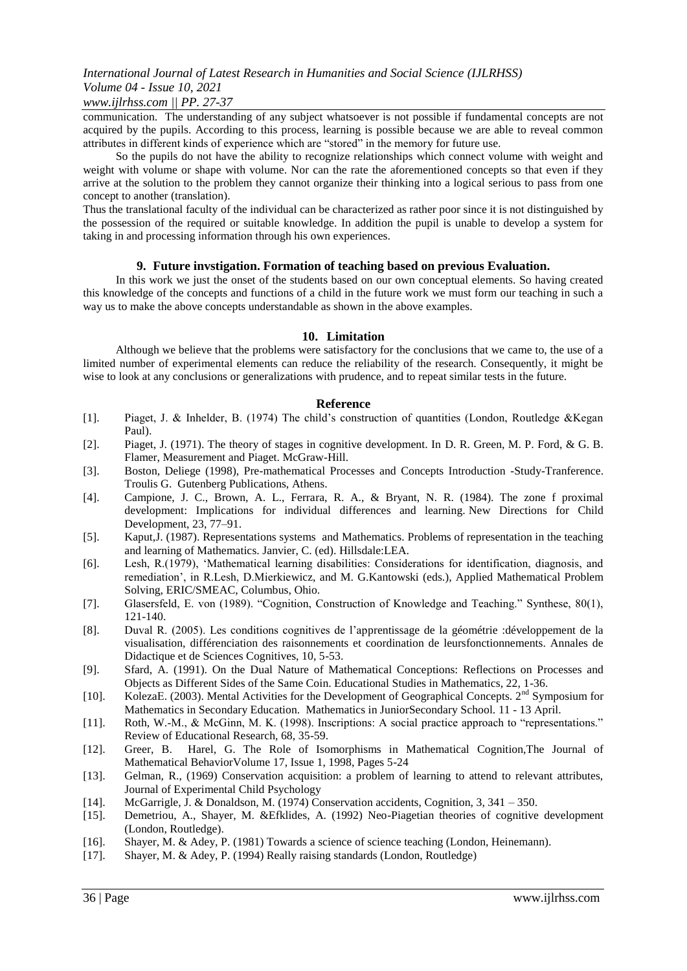### *www.ijlrhss.com || PP. 27-37*

communication. The understanding of any subject whatsoever is not possible if fundamental concepts are not acquired by the pupils. According to this process, learning is possible because we are able to reveal common attributes in different kinds of experience which are "stored" in the memory for future use.

So the pupils do not have the ability to recognize relationships which connect volume with weight and weight with volume or shape with volume. Nor can the rate the aforementioned concepts so that even if they arrive at the solution to the problem they cannot organize their thinking into a logical serious to pass from one concept to another (translation).

Thus the translational faculty of the individual can be characterized as rather poor since it is not distinguished by the possession of the required or suitable knowledge. In addition the pupil is unable to develop a system for taking in and processing information through his own experiences.

### **9. Future invstigation. Formation of teaching based on previous Evaluation.**

In this work we just the onset of the students based on our own conceptual elements. So having created this knowledge of the concepts and functions of a child in the future work we must form our teaching in such a way us to make the above concepts understandable as shown in the above examples.

### **10. Limitation**

Although we believe that the problems were satisfactory for the conclusions that we came to, the use of a limited number of experimental elements can reduce the reliability of the research. Consequently, it might be wise to look at any conclusions or generalizations with prudence, and to repeat similar tests in the future.

### **Reference**

- [1]. Piaget, J. & Inhelder, B. (1974) The child"s construction of quantities (London, Routledge &Kegan Paul).
- [2]. Piaget, J. (1971). The theory of stages in cognitive development. In D. R. Green, M. P. Ford, & G. B. Flamer, Measurement and Piaget. McGraw-Hill.
- [3]. Boston, Deliege (1998), Pre-mathematical Processes and Concepts Introduction -Study-Tranference. Troulis G. Gutenberg Publications, Athens.
- [4]. Campione, J. C., Brown, A. L., Ferrara, R. A., & Bryant, N. R. (1984). The zone f proximal development: Implications for individual differences and learning. New Directions for Child Development, 23, 77–91.
- [5]. Kaput,J. (1987). Representations systems and Mathematics. Problems of representation in the teaching and learning of Mathematics. Janvier, C. (ed). Hillsdale:LEA.
- [6]. Lesh, R.(1979), "Mathematical learning disabilities: Considerations for identification, diagnosis, and remediation", in R.Lesh, D.Mierkiewicz, and M. G.Kantowski (eds.), Applied Mathematical Problem Solving, ERIC/SMEAC, Columbus, Ohio.
- [7]. Glasersfeld, E. von (1989). "Cognition, Construction of Knowledge and Teaching." Synthese, 80(1), 121-140.
- [8]. Duval R. (2005). Les conditions cognitives de l"apprentissage de la géométrie :développement de la visualisation, différenciation des raisonnements et coordination de leursfonctionnements. Annales de Didactique et de Sciences Cognitives, 10, 5-53.
- [9]. Sfard, A. (1991). On the Dual Nature of Mathematical Conceptions: Reflections on Processes and Objects as Different Sides of the Same Coin. Educational Studies in Mathematics, 22, 1-36.
- [10]. KolezaE. (2003). Mental Activities for the Development of Geographical Concepts. 2<sup>nd</sup> Symposium for Mathematics in Secondary Education. Mathematics in JuniorSecondary School. 11 - 13 Αpril.
- [11]. Roth, W.-M., & McGinn, M. K. (1998). Inscriptions: A social practice approach to "representations." Review of Educational Research, 68, 35-59.
- [12]. Greer, B. Harel, G. The Role of Isomorphisms in Mathematical Cognition,The Journal of Mathematical BehaviorVolume 17, Issue 1, 1998, Pages 5-24
- [13]. Gelman, R., (1969) Conservation acquisition: a problem of learning to attend to relevant attributes, Journal of Experimental Child Psychology
- [14]. McGarrigle, J. & Donaldson, M. (1974) Conservation accidents, Cognition, 3, 341 350.
- [15]. Demetriou, A., Shayer, M. &Efklides, A. (1992) Neo-Piagetian theories of cognitive development (London, Routledge).
- [16]. Shayer, M. & Adey, P. (1981) Towards a science of science teaching (London, Heinemann).
- [17]. Shayer, M. & Adey, P. (1994) Really raising standards (London, Routledge)